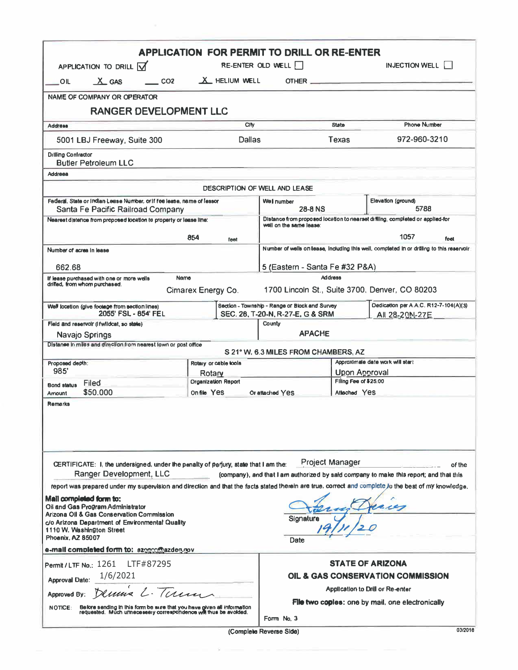|                                                                                                                                                                                                                       |                                                                                                                                             | <b>APPLICATION FOR PERMIT TO DRILL OR RE-ENTER</b>                                  |                                                                                    |                                |                                                                                                                                                      |
|-----------------------------------------------------------------------------------------------------------------------------------------------------------------------------------------------------------------------|---------------------------------------------------------------------------------------------------------------------------------------------|-------------------------------------------------------------------------------------|------------------------------------------------------------------------------------|--------------------------------|------------------------------------------------------------------------------------------------------------------------------------------------------|
| APPLICATION TO DRILL V                                                                                                                                                                                                |                                                                                                                                             |                                                                                     | RE-ENTER OLD WELL                                                                  |                                | INJECTION WELL                                                                                                                                       |
| X GAS<br>OIL                                                                                                                                                                                                          | CO <sub>2</sub>                                                                                                                             | X HELIUM WELL                                                                       |                                                                                    |                                |                                                                                                                                                      |
| <b>NAME OF COMPANY OR OPERATOR</b>                                                                                                                                                                                    |                                                                                                                                             |                                                                                     |                                                                                    |                                |                                                                                                                                                      |
|                                                                                                                                                                                                                       | <b>RANGER DEVELOPMENT LLC</b>                                                                                                               |                                                                                     |                                                                                    |                                |                                                                                                                                                      |
| <b>Address</b>                                                                                                                                                                                                        |                                                                                                                                             |                                                                                     | <b>State</b>                                                                       | <b>Phone Number</b>            |                                                                                                                                                      |
| <b>Dallas</b><br>5001 LBJ Freeway, Suite 300                                                                                                                                                                          |                                                                                                                                             |                                                                                     |                                                                                    | <b>Texas</b>                   | 972-960-3210                                                                                                                                         |
| <b>Dillling Confractor</b><br><b>Butler Petroleum LLC</b>                                                                                                                                                             |                                                                                                                                             |                                                                                     |                                                                                    |                                |                                                                                                                                                      |
| Addreea                                                                                                                                                                                                               |                                                                                                                                             |                                                                                     | DESCRIPTION OF WELL AND LEASE                                                      |                                |                                                                                                                                                      |
|                                                                                                                                                                                                                       | Federal, State or Indian Lease Number, or if fee lease, name of lessor                                                                      |                                                                                     | Well number                                                                        |                                | Elevation (ground)                                                                                                                                   |
| Santa Fe Pacific Railroad Company<br>Nearest distence from proposed location to property or lease line:                                                                                                               |                                                                                                                                             |                                                                                     | <b>28-8 NS</b>                                                                     |                                | 5788                                                                                                                                                 |
|                                                                                                                                                                                                                       |                                                                                                                                             |                                                                                     | well on the same lease:                                                            |                                | Distance from proposed location to nearset drilling, completed or applied-for                                                                        |
|                                                                                                                                                                                                                       |                                                                                                                                             | 854<br>leet                                                                         |                                                                                    |                                | 1057<br>feet                                                                                                                                         |
| Number of acrea in lease                                                                                                                                                                                              |                                                                                                                                             |                                                                                     |                                                                                    |                                | Number of wells on lease, including this well, completed in or drilling to this reservoir:                                                           |
| 662.68                                                                                                                                                                                                                |                                                                                                                                             |                                                                                     |                                                                                    | 5 (Eastern - Santa Fe #32 P&A) |                                                                                                                                                      |
| If lease purchased with one or more wells                                                                                                                                                                             | Name                                                                                                                                        | <b>Address</b>                                                                      |                                                                                    |                                |                                                                                                                                                      |
| driffed, from whom purchased.                                                                                                                                                                                         |                                                                                                                                             | Cimarex Energy Co.                                                                  |                                                                                    |                                | 1700 Lincoln St., Suite 3700, Denver, CO 80203                                                                                                       |
| Well locetion (give footage from section lines)                                                                                                                                                                       | 2055' FSL - 854' FEL                                                                                                                        |                                                                                     | Section - Township - Range or Block and Survey<br>SEC. 28, T-20-N, R-27-E, G & SRM |                                | Dedication per A.A.C. R12-7-104(A)(3)<br>AIL 28-20N-27E                                                                                              |
| Field and reservoir (If wildcat, so state)                                                                                                                                                                            |                                                                                                                                             |                                                                                     | County                                                                             |                                |                                                                                                                                                      |
| Navajo Springs                                                                                                                                                                                                        |                                                                                                                                             |                                                                                     | <b>APACHE</b>                                                                      |                                |                                                                                                                                                      |
|                                                                                                                                                                                                                       | Distance in miles and direction from nearest lown or post office                                                                            |                                                                                     | S 21° W, 6.3 MILES FROM CHAMBERS, AZ                                               |                                |                                                                                                                                                      |
| Proposed depth:                                                                                                                                                                                                       | Rotary or cable tools<br>985'                                                                                                               |                                                                                     | Approximale date work will start                                                   |                                |                                                                                                                                                      |
| Filed                                                                                                                                                                                                                 |                                                                                                                                             | Rotary<br><b>Organization Report</b>                                                | Upon Approval<br>Filing Fee of \$25.00                                             |                                |                                                                                                                                                      |
| <b>Bond status</b><br>\$50,000<br>Arriount                                                                                                                                                                            |                                                                                                                                             | On file Yes                                                                         | Or attached Yes                                                                    | Atlached Yes                   |                                                                                                                                                      |
| Remarks                                                                                                                                                                                                               |                                                                                                                                             |                                                                                     |                                                                                    |                                |                                                                                                                                                      |
|                                                                                                                                                                                                                       | Ranger Development, LLC                                                                                                                     | CERTIFICATE: I, the undersigned, under the penalty of pariury, state that I am the: |                                                                                    | <b>Project Manager</b>         | of the<br>(company), and that I am authorized by said company to make this report; and that this                                                     |
| Mail completed form to:<br>Oil and Gas Program Administrator<br>Arizona OII & Gas Conservation Commission<br>c/o Arizona Department of Environmental Quality<br>1110 W. Washington Street<br><b>Phoenix, AZ 85007</b> |                                                                                                                                             |                                                                                     | Signature<br>Date                                                                  |                                | report was prepared under my supervision and direction and that the facts stated therein are true, correct and complete jo the best of my knowledge, |
| e-mail completed form to: azogoo@azdeq.gov                                                                                                                                                                            |                                                                                                                                             |                                                                                     |                                                                                    |                                |                                                                                                                                                      |
| Permit / LTF No.: 1261 LTF#87295                                                                                                                                                                                      |                                                                                                                                             |                                                                                     | <b>STATE OF ARIZONA</b>                                                            |                                |                                                                                                                                                      |
| 1/6/2021<br><b>Approval Date:</b>                                                                                                                                                                                     |                                                                                                                                             | OIL & GAS CONSERVATION COMMISSION                                                   |                                                                                    |                                |                                                                                                                                                      |
| Approved By:                                                                                                                                                                                                          | Dennis L. Term                                                                                                                              | Application to Drill or Re-enter                                                    |                                                                                    |                                |                                                                                                                                                      |
| <b>NOTICE:</b>                                                                                                                                                                                                        | Before sending in this form be sure that you have given all information<br>requested. Much unnecessery correspondence will thus be avoided. | File two coples: one by mail, one electronically                                    |                                                                                    |                                |                                                                                                                                                      |
|                                                                                                                                                                                                                       |                                                                                                                                             |                                                                                     | Form No. 3                                                                         |                                |                                                                                                                                                      |
|                                                                                                                                                                                                                       |                                                                                                                                             |                                                                                     | (Complete Reverse Side)                                                            |                                | 03/2018                                                                                                                                              |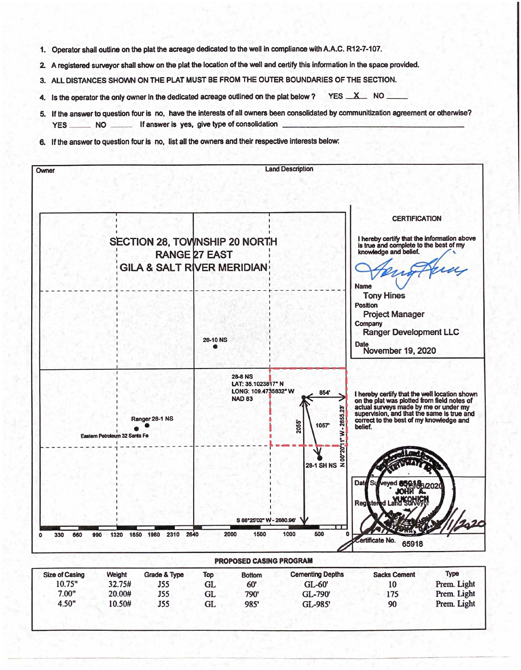- 1. Operator shall outline on the plat the acreage dedicated to the well in compliance with A.A.C. R12-7-107.
- 2. A registered surveyor shall show on the plat the location of the well and certify this information in the space provided.
- 3. ALL DISTANCES SHOWN ON THE PLAT MUST BE FROM THE OUTER BOUNDARIES OF THE SECTION.
- 4. Is the operator the only owner in the dedicated acreage outlined on the plat below? YES X NO
- 5. If the answer to question four is no, have the interests of all owners been consolidated by communitization agreement or otherwise? If answer is yes, give type of consolidation **YES NO**
- 6. If the answer to question four is no. list all the owners and their respective interests below: